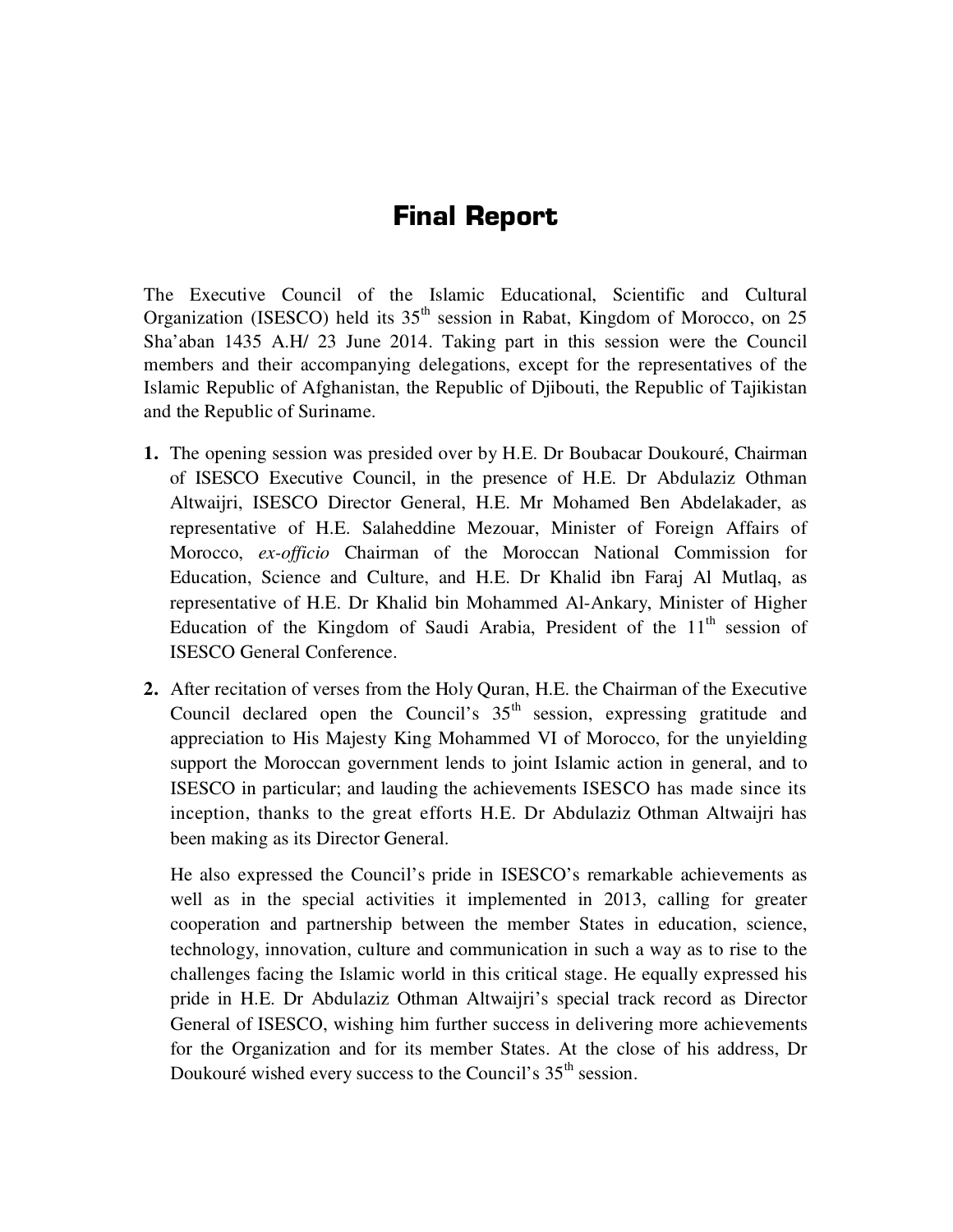## **Final Report**

The Executive Council of the Islamic Educational, Scientific and Cultural Organization (ISESCO) held its  $35<sup>th</sup>$  session in Rabat, Kingdom of Morocco, on 25 Sha'aban 1435 A.H/ 23 June 2014. Taking part in this session were the Council members and their accompanying delegations, except for the representatives of the Islamic Republic of Afghanistan, the Republic of Djibouti, the Republic of Tajikistan and the Republic of Suriname.

- **1.** The opening session was presided over by H.E. Dr Boubacar Doukouré, Chairman of ISESCO Executive Council, in the presence of H.E. Dr Abdulaziz Othman Altwaijri, ISESCO Director General, H.E. Mr Mohamed Ben Abdelakader, as representative of H.E. Salaheddine Mezouar, Minister of Foreign Affairs of Morocco, *ex-officio* Chairman of the Moroccan National Commission for Education, Science and Culture, and H.E. Dr Khalid ibn Faraj Al Mutlaq, as representative of H.E. Dr Khalid bin Mohammed Al-Ankary, Minister of Higher Education of the Kingdom of Saudi Arabia, President of the  $11<sup>th</sup>$  session of ISESCO General Conference.
- **2.** After recitation of verses from the Holy Quran, H.E. the Chairman of the Executive Council declared open the Council's  $35<sup>th</sup>$  session, expressing gratitude and appreciation to His Majesty King Mohammed VI of Morocco, for the unyielding support the Moroccan government lends to joint Islamic action in general, and to ISESCO in particular; and lauding the achievements ISESCO has made since its inception, thanks to the great efforts H.E. Dr Abdulaziz Othman Altwaijri has been making as its Director General.

He also expressed the Council's pride in ISESCO's remarkable achievements as well as in the special activities it implemented in 2013, calling for greater cooperation and partnership between the member States in education, science, technology, innovation, culture and communication in such a way as to rise to the challenges facing the Islamic world in this critical stage. He equally expressed his pride in H.E. Dr Abdulaziz Othman Altwaijri's special track record as Director General of ISESCO, wishing him further success in delivering more achievements for the Organization and for its member States. At the close of his address, Dr Doukouré wished every success to the Council's 35<sup>th</sup> session.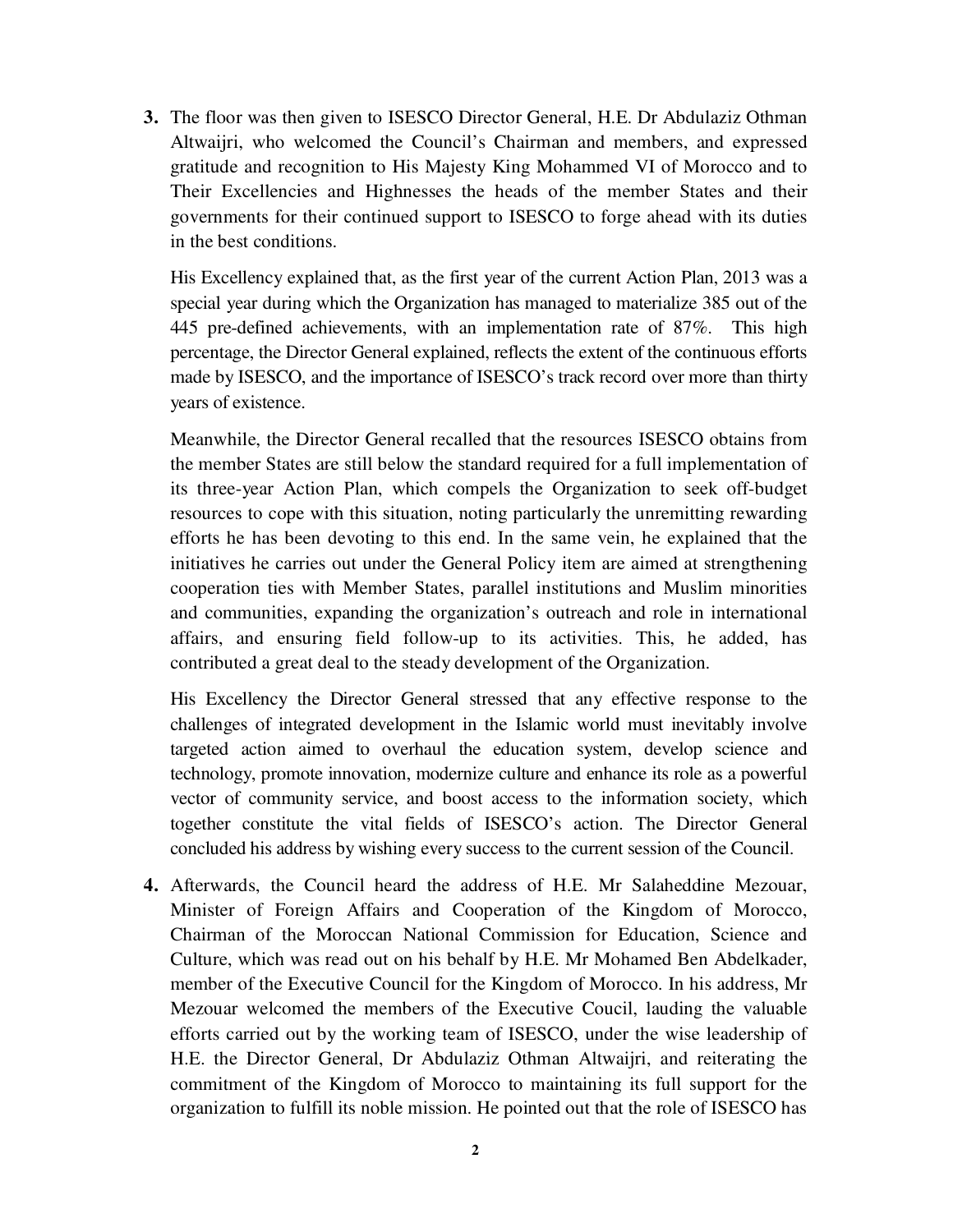**3.** The floor was then given to ISESCO Director General, H.E. Dr Abdulaziz Othman Altwaijri, who welcomed the Council's Chairman and members, and expressed gratitude and recognition to His Majesty King Mohammed VI of Morocco and to Their Excellencies and Highnesses the heads of the member States and their governments for their continued support to ISESCO to forge ahead with its duties in the best conditions.

His Excellency explained that, as the first year of the current Action Plan, 2013 was a special year during which the Organization has managed to materialize 385 out of the 445 pre-defined achievements, with an implementation rate of 87%. This high percentage, the Director General explained, reflects the extent of the continuous efforts made by ISESCO, and the importance of ISESCO's track record over more than thirty years of existence.

Meanwhile, the Director General recalled that the resources ISESCO obtains from the member States are still below the standard required for a full implementation of its three-year Action Plan, which compels the Organization to seek off-budget resources to cope with this situation, noting particularly the unremitting rewarding efforts he has been devoting to this end. In the same vein, he explained that the initiatives he carries out under the General Policy item are aimed at strengthening cooperation ties with Member States, parallel institutions and Muslim minorities and communities, expanding the organization's outreach and role in international affairs, and ensuring field follow-up to its activities. This, he added, has contributed a great deal to the steady development of the Organization.

His Excellency the Director General stressed that any effective response to the challenges of integrated development in the Islamic world must inevitably involve targeted action aimed to overhaul the education system, develop science and technology, promote innovation, modernize culture and enhance its role as a powerful vector of community service, and boost access to the information society, which together constitute the vital fields of ISESCO's action. The Director General concluded his address by wishing every success to the current session of the Council.

**4.** Afterwards, the Council heard the address of H.E. Mr Salaheddine Mezouar, Minister of Foreign Affairs and Cooperation of the Kingdom of Morocco, Chairman of the Moroccan National Commission for Education, Science and Culture, which was read out on his behalf by H.E. Mr Mohamed Ben Abdelkader, member of the Executive Council for the Kingdom of Morocco. In his address, Mr Mezouar welcomed the members of the Executive Coucil, lauding the valuable efforts carried out by the working team of ISESCO, under the wise leadership of H.E. the Director General, Dr Abdulaziz Othman Altwaijri, and reiterating the commitment of the Kingdom of Morocco to maintaining its full support for the organization to fulfill its noble mission. He pointed out that the role of ISESCO has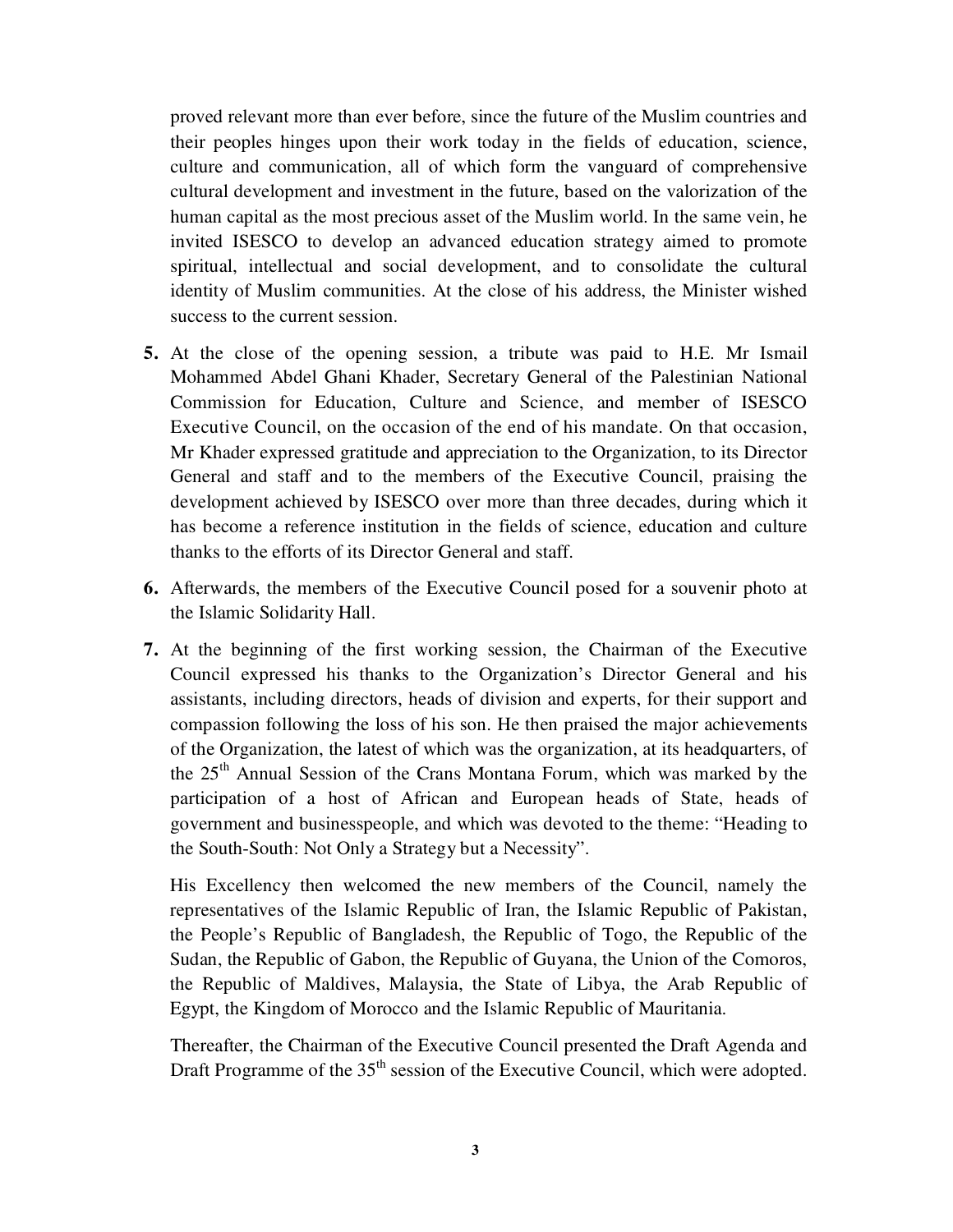proved relevant more than ever before, since the future of the Muslim countries and their peoples hinges upon their work today in the fields of education, science, culture and communication, all of which form the vanguard of comprehensive cultural development and investment in the future, based on the valorization of the human capital as the most precious asset of the Muslim world. In the same vein, he invited ISESCO to develop an advanced education strategy aimed to promote spiritual, intellectual and social development, and to consolidate the cultural identity of Muslim communities. At the close of his address, the Minister wished success to the current session.

- **5.** At the close of the opening session, a tribute was paid to H.E. Mr Ismail Mohammed Abdel Ghani Khader, Secretary General of the Palestinian National Commission for Education, Culture and Science, and member of ISESCO Executive Council, on the occasion of the end of his mandate. On that occasion, Mr Khader expressed gratitude and appreciation to the Organization, to its Director General and staff and to the members of the Executive Council, praising the development achieved by ISESCO over more than three decades, during which it has become a reference institution in the fields of science, education and culture thanks to the efforts of its Director General and staff.
- **6.** Afterwards, the members of the Executive Council posed for a souvenir photo at the Islamic Solidarity Hall.
- **7.** At the beginning of the first working session, the Chairman of the Executive Council expressed his thanks to the Organization's Director General and his assistants, including directors, heads of division and experts, for their support and compassion following the loss of his son. He then praised the major achievements of the Organization, the latest of which was the organization, at its headquarters, of the 25th Annual Session of the Crans Montana Forum, which was marked by the participation of a host of African and European heads of State, heads of government and businesspeople, and which was devoted to the theme: "Heading to the South-South: Not Only a Strategy but a Necessity".

His Excellency then welcomed the new members of the Council, namely the representatives of the Islamic Republic of Iran, the Islamic Republic of Pakistan, the People's Republic of Bangladesh, the Republic of Togo, the Republic of the Sudan, the Republic of Gabon, the Republic of Guyana, the Union of the Comoros, the Republic of Maldives, Malaysia, the State of Libya, the Arab Republic of Egypt, the Kingdom of Morocco and the Islamic Republic of Mauritania.

Thereafter, the Chairman of the Executive Council presented the Draft Agenda and Draft Programme of the 35<sup>th</sup> session of the Executive Council, which were adopted.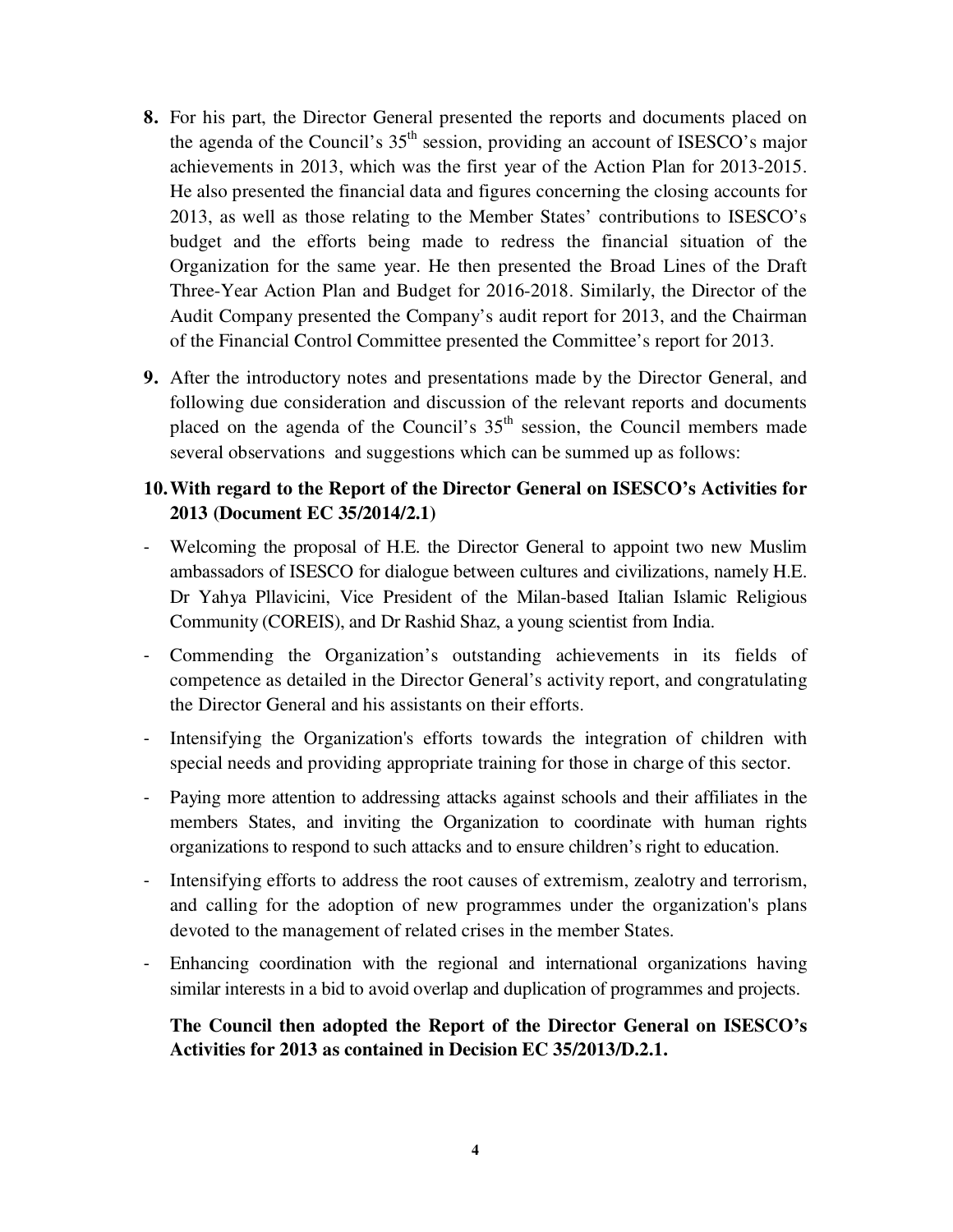- **8.** For his part, the Director General presented the reports and documents placed on the agenda of the Council's  $35<sup>th</sup>$  session, providing an account of ISESCO's major achievements in 2013, which was the first year of the Action Plan for 2013-2015. He also presented the financial data and figures concerning the closing accounts for 2013, as well as those relating to the Member States' contributions to ISESCO's budget and the efforts being made to redress the financial situation of the Organization for the same year. He then presented the Broad Lines of the Draft Three-Year Action Plan and Budget for 2016-2018. Similarly, the Director of the Audit Company presented the Company's audit report for 2013, and the Chairman of the Financial Control Committee presented the Committee's report for 2013.
- **9.** After the introductory notes and presentations made by the Director General, and following due consideration and discussion of the relevant reports and documents placed on the agenda of the Council's  $35<sup>th</sup>$  session, the Council members made several observations and suggestions which can be summed up as follows:

## **10.With regard to the Report of the Director General on ISESCO's Activities for 2013 (Document EC 35/2014/2.1)**

- Welcoming the proposal of H.E. the Director General to appoint two new Muslim ambassadors of ISESCO for dialogue between cultures and civilizations, namely H.E. Dr Yahya Pllavicini, Vice President of the Milan-based Italian Islamic Religious Community (COREIS), and Dr Rashid Shaz, a young scientist from India.
- Commending the Organization's outstanding achievements in its fields of competence as detailed in the Director General's activity report, and congratulating the Director General and his assistants on their efforts.
- Intensifying the Organization's efforts towards the integration of children with special needs and providing appropriate training for those in charge of this sector.
- Paying more attention to addressing attacks against schools and their affiliates in the members States, and inviting the Organization to coordinate with human rights organizations to respond to such attacks and to ensure children's right to education.
- Intensifying efforts to address the root causes of extremism, zealotry and terrorism, and calling for the adoption of new programmes under the organization's plans devoted to the management of related crises in the member States.
- Enhancing coordination with the regional and international organizations having similar interests in a bid to avoid overlap and duplication of programmes and projects.

## **The Council then adopted the Report of the Director General on ISESCO's Activities for 2013 as contained in Decision EC 35/2013/D.2.1.**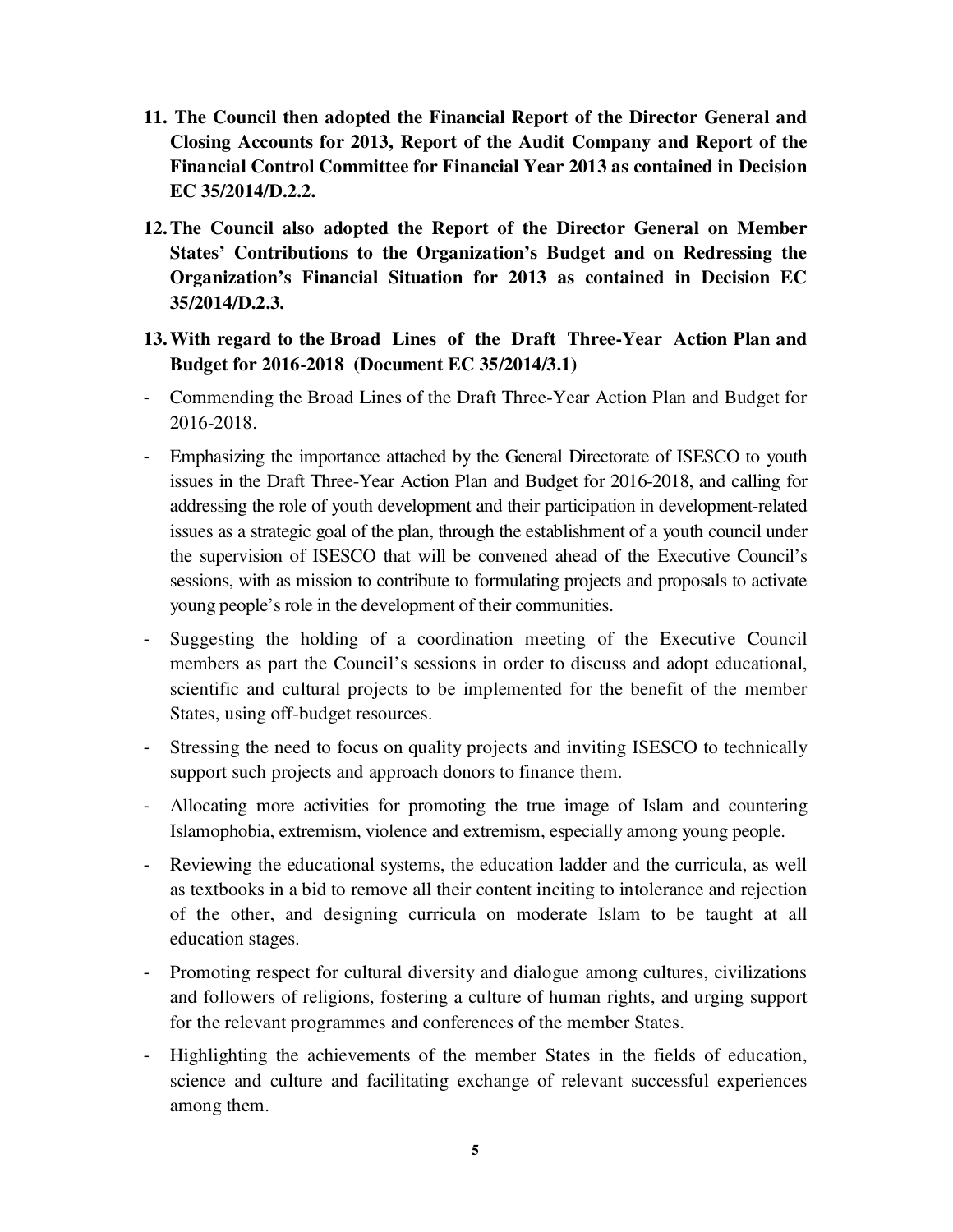- **11. The Council then adopted the Financial Report of the Director General and Closing Accounts for 2013, Report of the Audit Company and Report of the Financial Control Committee for Financial Year 2013 as contained in Decision EC 35/2014/D.2.2.**
- **12.The Council also adopted the Report of the Director General on Member States' Contributions to the Organization's Budget and on Redressing the Organization's Financial Situation for 2013 as contained in Decision EC 35/2014/D.2.3.**
- **13.With regard to the Broad Lines of the Draft Three-Year Action Plan and Budget for 2016-2018 (Document EC 35/2014/3.1)**
- Commending the Broad Lines of the Draft Three-Year Action Plan and Budget for 2016-2018.
- Emphasizing the importance attached by the General Directorate of ISESCO to youth issues in the Draft Three-Year Action Plan and Budget for 2016-2018, and calling for addressing the role of youth development and their participation in development-related issues as a strategic goal of the plan, through the establishment of a youth council under the supervision of ISESCO that will be convened ahead of the Executive Council's sessions, with as mission to contribute to formulating projects and proposals to activate young people's role in the development of their communities.
- Suggesting the holding of a coordination meeting of the Executive Council members as part the Council's sessions in order to discuss and adopt educational, scientific and cultural projects to be implemented for the benefit of the member States, using off-budget resources.
- Stressing the need to focus on quality projects and inviting ISESCO to technically support such projects and approach donors to finance them.
- Allocating more activities for promoting the true image of Islam and countering Islamophobia, extremism, violence and extremism, especially among young people.
- Reviewing the educational systems, the education ladder and the curricula, as well as textbooks in a bid to remove all their content inciting to intolerance and rejection of the other, and designing curricula on moderate Islam to be taught at all education stages.
- Promoting respect for cultural diversity and dialogue among cultures, civilizations and followers of religions, fostering a culture of human rights, and urging support for the relevant programmes and conferences of the member States.
- Highlighting the achievements of the member States in the fields of education, science and culture and facilitating exchange of relevant successful experiences among them.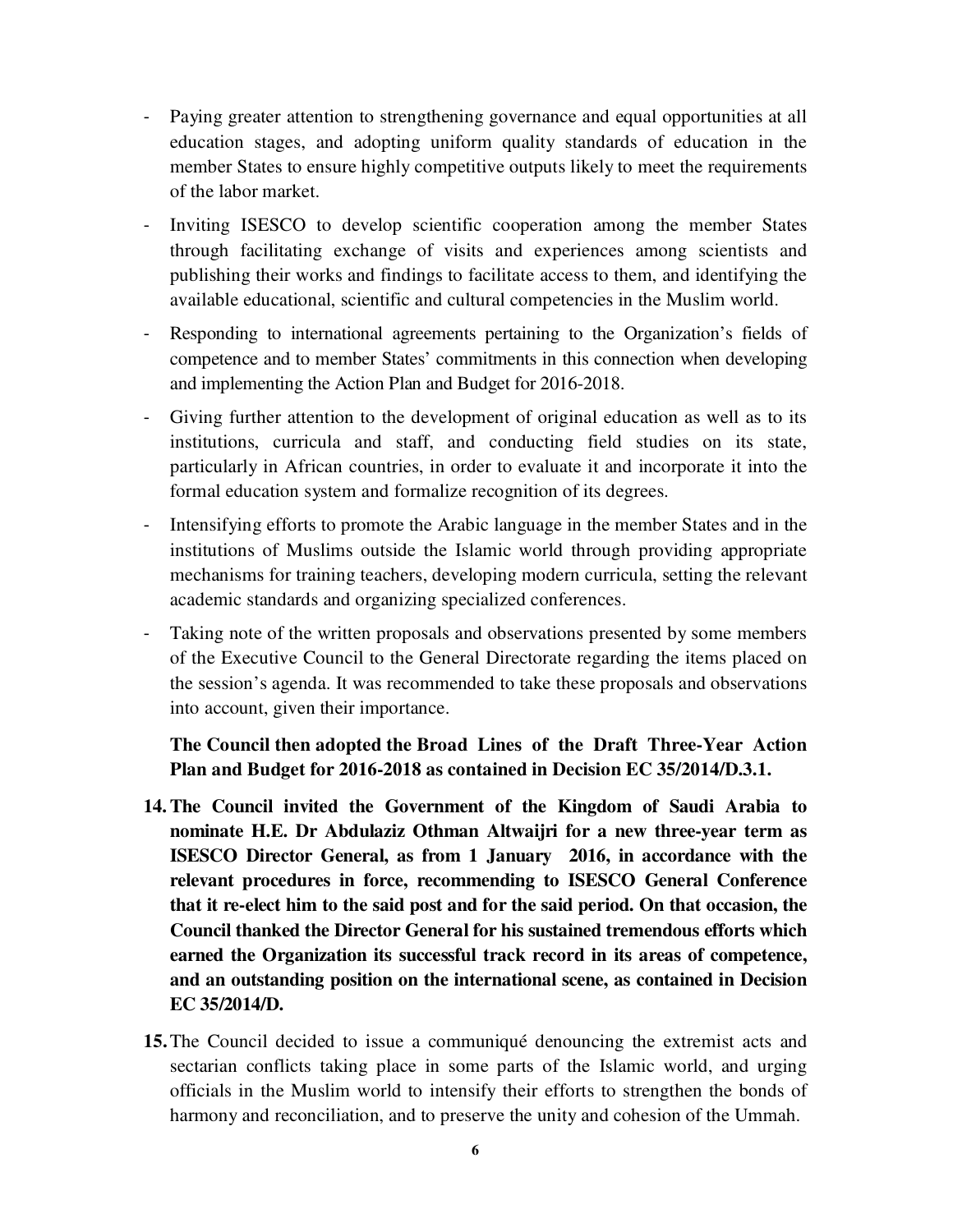- Paying greater attention to strengthening governance and equal opportunities at all education stages, and adopting uniform quality standards of education in the member States to ensure highly competitive outputs likely to meet the requirements of the labor market.
- Inviting ISESCO to develop scientific cooperation among the member States through facilitating exchange of visits and experiences among scientists and publishing their works and findings to facilitate access to them, and identifying the available educational, scientific and cultural competencies in the Muslim world.
- Responding to international agreements pertaining to the Organization's fields of competence and to member States' commitments in this connection when developing and implementing the Action Plan and Budget for 2016-2018.
- Giving further attention to the development of original education as well as to its institutions, curricula and staff, and conducting field studies on its state, particularly in African countries, in order to evaluate it and incorporate it into the formal education system and formalize recognition of its degrees.
- Intensifying efforts to promote the Arabic language in the member States and in the institutions of Muslims outside the Islamic world through providing appropriate mechanisms for training teachers, developing modern curricula, setting the relevant academic standards and organizing specialized conferences.
- Taking note of the written proposals and observations presented by some members of the Executive Council to the General Directorate regarding the items placed on the session's agenda. It was recommended to take these proposals and observations into account, given their importance.

**The Council then adopted the Broad Lines of the Draft Three-Year Action Plan and Budget for 2016-2018 as contained in Decision EC 35/2014/D.3.1.**

- **14.The Council invited the Government of the Kingdom of Saudi Arabia to nominate H.E. Dr Abdulaziz Othman Altwaijri for a new three-year term as ISESCO Director General, as from 1 January 2016, in accordance with the relevant procedures in force, recommending to ISESCO General Conference that it re-elect him to the said post and for the said period. On that occasion, the Council thanked the Director General for his sustained tremendous efforts which earned the Organization its successful track record in its areas of competence, and an outstanding position on the international scene, as contained in Decision EC 35/2014/D.**
- **15.**The Council decided to issue a communiqué denouncing the extremist acts and sectarian conflicts taking place in some parts of the Islamic world, and urging officials in the Muslim world to intensify their efforts to strengthen the bonds of harmony and reconciliation, and to preserve the unity and cohesion of the Ummah.